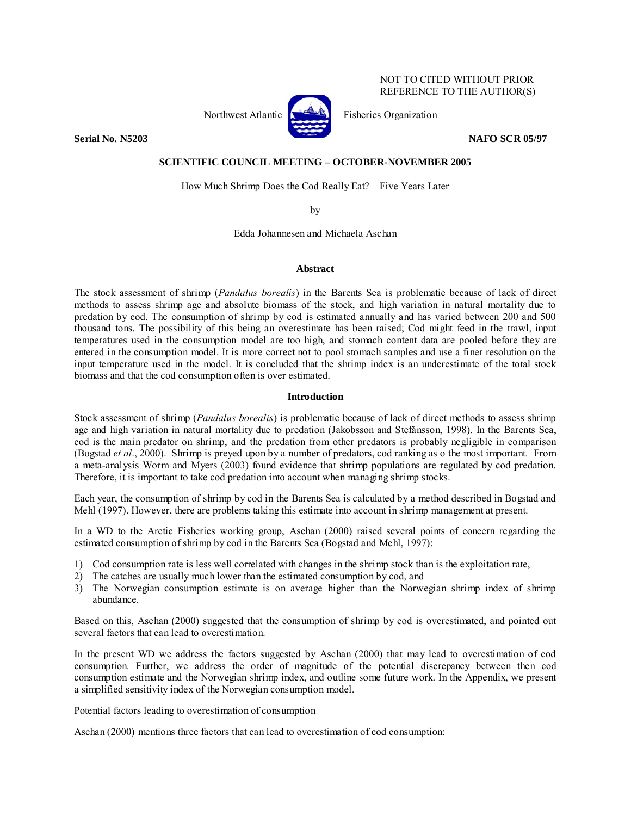## NOT TO CITED WITHOUT PRIOR REFERENCE TO THE AUTHOR(S)



Northwest Atlantic  $\begin{bmatrix} 1 & 1 \\ 1 & 1 \end{bmatrix}$  Fisheries Organization

**Serial No. N5203 NAFO SCR 05/97** 

## **SCIENTIFIC COUNCIL MEETING – OCTOBER-NOVEMBER 2005**

How Much Shrimp Does the Cod Really Eat? – Five Years Later

by

Edda Johannesen and Michaela Aschan

### **Abstract**

The stock assessment of shrimp (*Pandalus borealis*) in the Barents Sea is problematic because of lack of direct methods to assess shrimp age and absolute biomass of the stock, and high variation in natural mortality due to predation by cod. The consumption of shrimp by cod is estimated annually and has varied between 200 and 500 thousand tons. The possibility of this being an overestimate has been raised; Cod might feed in the trawl, input temperatures used in the consumption model are too high, and stomach content data are pooled before they are entered in the consumption model. It is more correct not to pool stomach samples and use a finer resolution on the input temperature used in the model. It is concluded that the shrimp index is an underestimate of the total stock biomass and that the cod consumption often is over estimated.

# **Introduction**

Stock assessment of shrimp (*Pandalus borealis*) is problematic because of lack of direct methods to assess shrimp age and high variation in natural mortality due to predation (Jakobsson and Stefánsson, 1998). In the Barents Sea, cod is the main predator on shrimp, and the predation from other predators is probably negligible in comparison (Bogstad *et al*., 2000). Shrimp is preyed upon by a number of predators, cod ranking as o the most important. From a meta-analysis Worm and Myers (2003) found evidence that shrimp populations are regulated by cod predation. Therefore, it is important to take cod predation into account when managing shrimp stocks.

Each year, the consumption of shrimp by cod in the Barents Sea is calculated by a method described in Bogstad and Mehl (1997). However, there are problems taking this estimate into account in shrimp management at present.

In a WD to the Arctic Fisheries working group, Aschan (2000) raised several points of concern regarding the estimated consumption of shrimp by cod in the Barents Sea (Bogstad and Mehl, 1997):

- 1) Cod consumption rate is less well correlated with changes in the shrimp stock than is the exploitation rate,
- 2) The catches are usually much lower than the estimated consumption by cod, and
- 3) The Norwegian consumption estimate is on average higher than the Norwegian shrimp index of shrimp abundance.

Based on this, Aschan (2000) suggested that the consumption of shrimp by cod is overestimated, and pointed out several factors that can lead to overestimation.

In the present WD we address the factors suggested by Aschan (2000) that may lead to overestimation of cod consumption. Further, we address the order of magnitude of the potential discrepancy between then cod consumption estimate and the Norwegian shrimp index, and outline some future work. In the Appendix, we present a simplified sensitivity index of the Norwegian consumption model.

Potential factors leading to overestimation of consumption

Aschan (2000) mentions three factors that can lead to overestimation of cod consumption: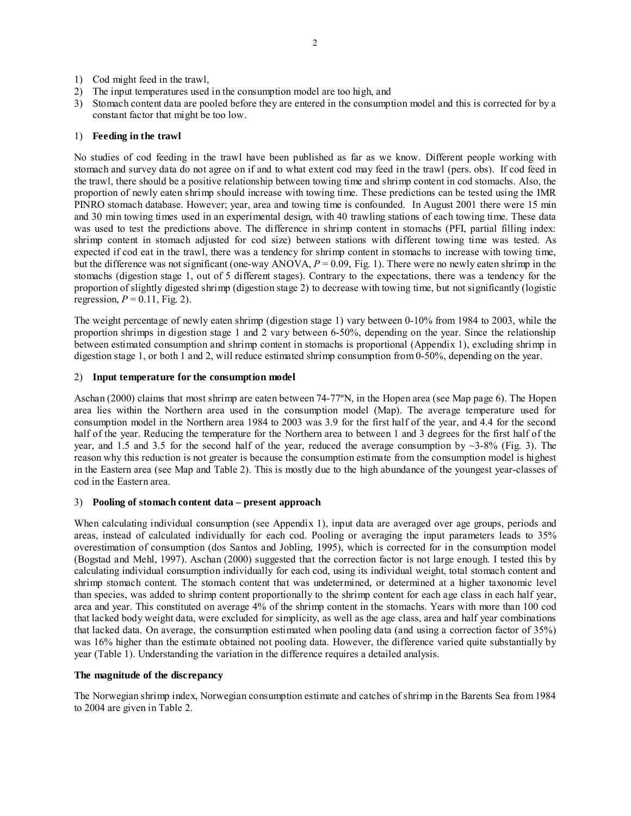- 1) Cod might feed in the trawl,
- 2) The input temperatures used in the consumption model are too high, and
- 3) Stomach content data are pooled before they are entered in the consumption model and this is corrected for by a constant factor that might be too low.

## 1) **Feeding in the trawl**

No studies of cod feeding in the trawl have been published as far as we know. Different people working with stomach and survey data do not agree on if and to what extent cod may feed in the trawl (pers. obs). If cod feed in the trawl, there should be a positive relationship between towing time and shrimp content in cod stomachs. Also, the proportion of newly eaten shrimp should increase with towing time. These predictions can be tested using the IMR PINRO stomach database. However; year, area and towing time is confounded. In August 2001 there were 15 min and 30 min towing times used in an experimental design, with 40 trawling stations of each towing time. These data was used to test the predictions above. The difference in shrimp content in stomachs (PFI, partial filling index: shrimp content in stomach adjusted for cod size) between stations with different towing time was tested. As expected if cod eat in the trawl, there was a tendency for shrimp content in stomachs to increase with towing time, but the difference was not significant (one-way ANOVA, *P* = 0.09, Fig. 1). There were no newly eaten shrimp in the stomachs (digestion stage 1, out of 5 different stages). Contrary to the expectations, there was a tendency for the proportion of slightly digested shrimp (digestion stage 2) to decrease with towing time, but not significantly (logistic regression,  $P = 0.11$ , Fig. 2).

The weight percentage of newly eaten shrimp (digestion stage 1) vary between 0-10% from 1984 to 2003, while the proportion shrimps in digestion stage 1 and 2 vary between 6-50%, depending on the year. Since the relationship between estimated consumption and shrimp content in stomachs is proportional (Appendix 1), excluding shrimp in digestion stage 1, or both 1 and 2, will reduce estimated shrimp consumption from 0-50%, depending on the year.

### 2) **Input temperature for the consumption model**

Aschan (2000) claims that most shrimp are eaten between 74-77ºN, in the Hopen area (see Map page 6). The Hopen area lies within the Northern area used in the consumption model (Map). The average temperature used for consumption model in the Northern area 1984 to 2003 was 3.9 for the first half of the year, and 4.4 for the second half of the year. Reducing the temperature for the Northern area to between 1 and 3 degrees for the first half of the year, and 1.5 and 3.5 for the second half of the year, reduced the average consumption by  $\sim$ 3-8% (Fig. 3). The reason why this reduction is not greater is because the consumption estimate from the consumption model is highest in the Eastern area (see Map and Table 2). This is mostly due to the high abundance of the youngest year-classes of cod in the Eastern area.

### 3) **Pooling of stomach content data – present approach**

When calculating individual consumption (see Appendix 1), input data are averaged over age groups, periods and areas, instead of calculated individually for each cod. Pooling or averaging the input parameters leads to 35% overestimation of consumption (dos Santos and Jobling, 1995), which is corrected for in the consumption model (Bogstad and Mehl, 1997). Aschan (2000) suggested that the correction factor is not large enough. I tested this by calculating individual consumption individually for each cod, using its individual weight, total stomach content and shrimp stomach content. The stomach content that was undetermined, or determined at a higher taxonomic level than species, was added to shrimp content proportionally to the shrimp content for each age class in each half year, area and year. This constituted on average 4% of the shrimp content in the stomachs. Years with more than 100 cod that lacked body weight data, were excluded for simplicity, as well as the age class, area and half year combinations that lacked data. On average, the consumption estimated when pooling data (and using a correction factor of 35%) was 16% higher than the estimate obtained not pooling data. However, the difference varied quite substantially by year (Table 1). Understanding the variation in the difference requires a detailed analysis.

## **The magnitude of the discrepancy**

The Norwegian shrimp index, Norwegian consumption estimate and catches of shrimp in the Barents Sea from 1984 to 2004 are given in Table 2.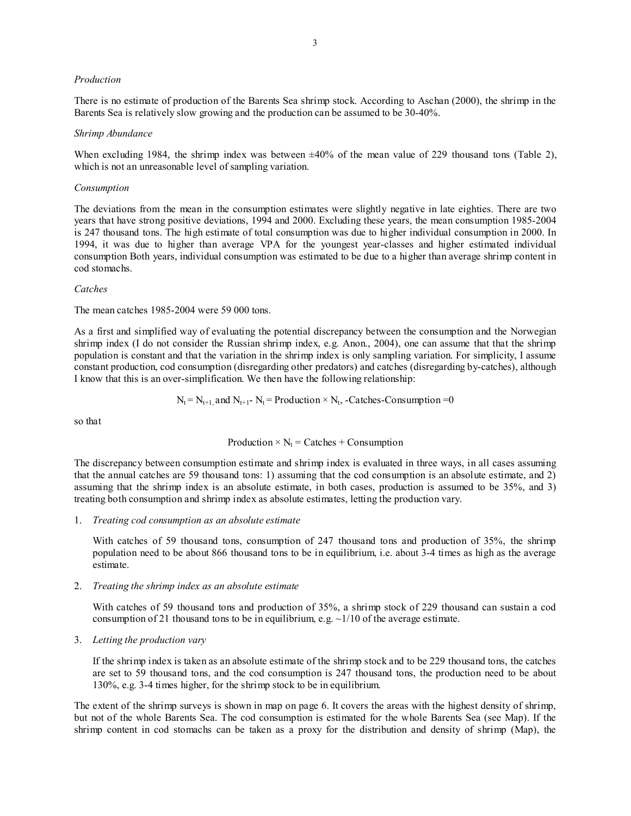### *Production*

There is no estimate of production of the Barents Sea shrimp stock. According to Aschan (2000), the shrimp in the Barents Sea is relatively slow growing and the production can be assumed to be 30-40%.

#### *Shrimp Abundance*

When excluding 1984, the shrimp index was between  $\pm 40\%$  of the mean value of 229 thousand tons (Table 2), which is not an unreasonable level of sampling variation.

#### *Consumption*

The deviations from the mean in the consumption estimates were slightly negative in late eighties. There are two years that have strong positive deviations, 1994 and 2000. Excluding these years, the mean consumption 1985-2004 is 247 thousand tons. The high estimate of total consumption was due to higher individual consumption in 2000. In 1994, it was due to higher than average VPA for the youngest year-classes and higher estimated individual consumption Both years, individual consumption was estimated to be due to a higher than average shrimp content in cod stomachs.

## *Catches*

The mean catches 1985-2004 were 59 000 tons.

As a first and simplified way of evaluating the potential discrepancy between the consumption and the Norwegian shrimp index (I do not consider the Russian shrimp index, e.g. Anon., 2004), one can assume that that the shrimp population is constant and that the variation in the shrimp index is only sampling variation. For simplicity, I assume constant production, cod consumption (disregarding other predators) and catches (disregarding by-catches), although I know that this is an over-simplification. We then have the following relationship:

$$
N_t = N_{t+1}
$$
, and  $N_{t+1}$  -  $N_t$  = Production ×  $N_t$ , -Catches-consumption =0

so that

$$
Production \times N_t = Catches + Consumption
$$

The discrepancy between consumption estimate and shrimp index is evaluated in three ways, in all cases assuming that the annual catches are 59 thousand tons: 1) assuming that the cod consumption is an absolute estimate, and 2) assuming that the shrimp index is an absolute estimate, in both cases, production is assumed to be 35%, and 3) treating both consumption and shrimp index as absolute estimates, letting the production vary.

1. *Treating cod consumption as an absolute estimate* 

 With catches of 59 thousand tons, consumption of 247 thousand tons and production of 35%, the shrimp population need to be about 866 thousand tons to be in equilibrium, i.e. about 3-4 times as high as the average estimate.

#### 2. *Treating the shrimp index as an absolute estimate*

 With catches of 59 thousand tons and production of 35%, a shrimp stock of 229 thousand can sustain a cod consumption of 21 thousand tons to be in equilibrium, e.g.  $\sim 1/10$  of the average estimate.

3. *Letting the production vary*

 If the shrimp index is taken as an absolute estimate of the shrimp stock and to be 229 thousand tons, the catches are set to 59 thousand tons, and the cod consumption is 247 thousand tons, the production need to be about 130%, e.g. 3-4 times higher, for the shrimp stock to be in equilibrium.

The extent of the shrimp surveys is shown in map on page 6. It covers the areas with the highest density of shrimp, but not of the whole Barents Sea. The cod consumption is estimated for the whole Barents Sea (see Map). If the shrimp content in cod stomachs can be taken as a proxy for the distribution and density of shrimp (Map), the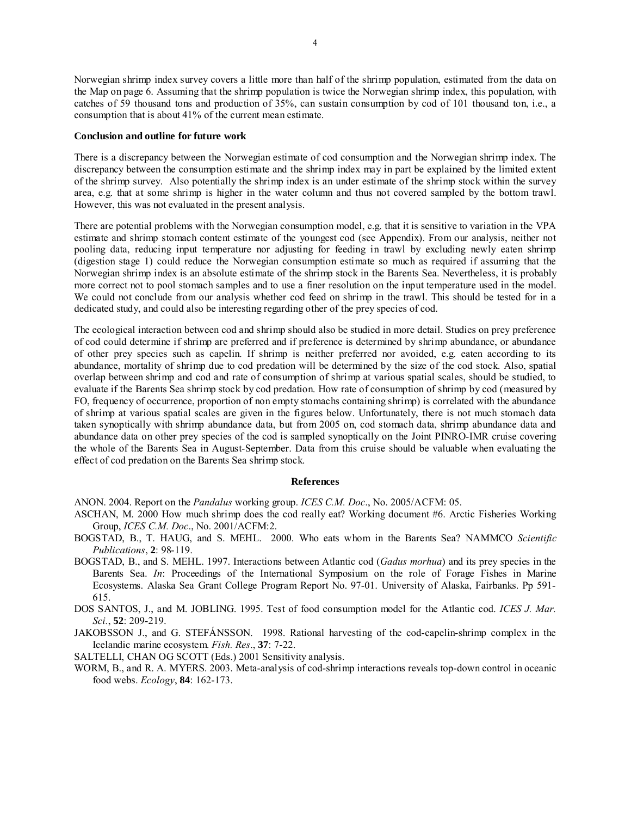4

Norwegian shrimp index survey covers a little more than half of the shrimp population, estimated from the data on the Map on page 6. Assuming that the shrimp population is twice the Norwegian shrimp index, this population, with catches of 59 thousand tons and production of 35%, can sustain consumption by cod of 101 thousand ton, i.e., a consumption that is about 41% of the current mean estimate.

## **Conclusion and outline for future work**

There is a discrepancy between the Norwegian estimate of cod consumption and the Norwegian shrimp index. The discrepancy between the consumption estimate and the shrimp index may in part be explained by the limited extent of the shrimp survey. Also potentially the shrimp index is an under estimate of the shrimp stock within the survey area, e.g. that at some shrimp is higher in the water column and thus not covered sampled by the bottom trawl. However, this was not evaluated in the present analysis.

There are potential problems with the Norwegian consumption model, e.g. that it is sensitive to variation in the VPA estimate and shrimp stomach content estimate of the youngest cod (see Appendix). From our analysis, neither not pooling data, reducing input temperature nor adjusting for feeding in trawl by excluding newly eaten shrimp (digestion stage 1) could reduce the Norwegian consumption estimate so much as required if assuming that the Norwegian shrimp index is an absolute estimate of the shrimp stock in the Barents Sea. Nevertheless, it is probably more correct not to pool stomach samples and to use a finer resolution on the input temperature used in the model. We could not conclude from our analysis whether cod feed on shrimp in the trawl. This should be tested for in a dedicated study, and could also be interesting regarding other of the prey species of cod.

The ecological interaction between cod and shrimp should also be studied in more detail. Studies on prey preference of cod could determine if shrimp are preferred and if preference is determined by shrimp abundance, or abundance of other prey species such as capelin. If shrimp is neither preferred nor avoided, e.g. eaten according to its abundance, mortality of shrimp due to cod predation will be determined by the size of the cod stock. Also, spatial overlap between shrimp and cod and rate of consumption of shrimp at various spatial scales, should be studied, to evaluate if the Barents Sea shrimp stock by cod predation. How rate of consumption of shrimp by cod (measured by FO, frequency of occurrence, proportion of non empty stomachs containing shrimp) is correlated with the abundance of shrimp at various spatial scales are given in the figures below. Unfortunately, there is not much stomach data taken synoptically with shrimp abundance data, but from 2005 on, cod stomach data, shrimp abundance data and abundance data on other prey species of the cod is sampled synoptically on the Joint PINRO-IMR cruise covering the whole of the Barents Sea in August-September. Data from this cruise should be valuable when evaluating the effect of cod predation on the Barents Sea shrimp stock.

#### **References**

ANON. 2004. Report on the *Pandalus* working group. *ICES C.M. Doc*., No. 2005/ACFM: 05.

- ASCHAN, M. 2000 How much shrimp does the cod really eat? Working document #6. Arctic Fisheries Working Group, *ICES C.M. Doc*., No. 2001/ACFM:2.
- BOGSTAD, B., T. HAUG, and S. MEHL. 2000. Who eats whom in the Barents Sea? NAMMCO *Scientific Publications*, **2**: 98-119.
- BOGSTAD, B., and S. MEHL. 1997. Interactions between Atlantic cod (*Gadus morhua*) and its prey species in the Barents Sea. *In*: Proceedings of the International Symposium on the role of Forage Fishes in Marine Ecosystems. Alaska Sea Grant College Program Report No. 97-01. University of Alaska, Fairbanks. Pp 591- 615.
- DOS SANTOS, J., and M. JOBLING. 1995. Test of food consumption model for the Atlantic cod. *ICES J. Mar. Sci.*, **52**: 209-219.
- JAKOBSSON J., and G. STEFÁNSSON. 1998. Rational harvesting of the cod-capelin-shrimp complex in the Icelandic marine ecosystem. *Fish. Res*., **37**: 7-22.

SALTELLI, CHAN OG SCOTT (Eds.) 2001 Sensitivity analysis.

WORM, B., and R. A. MYERS. 2003. Meta-analysis of cod-shrimp interactions reveals top-down control in oceanic food webs. *Ecology*, **84**: 162-173.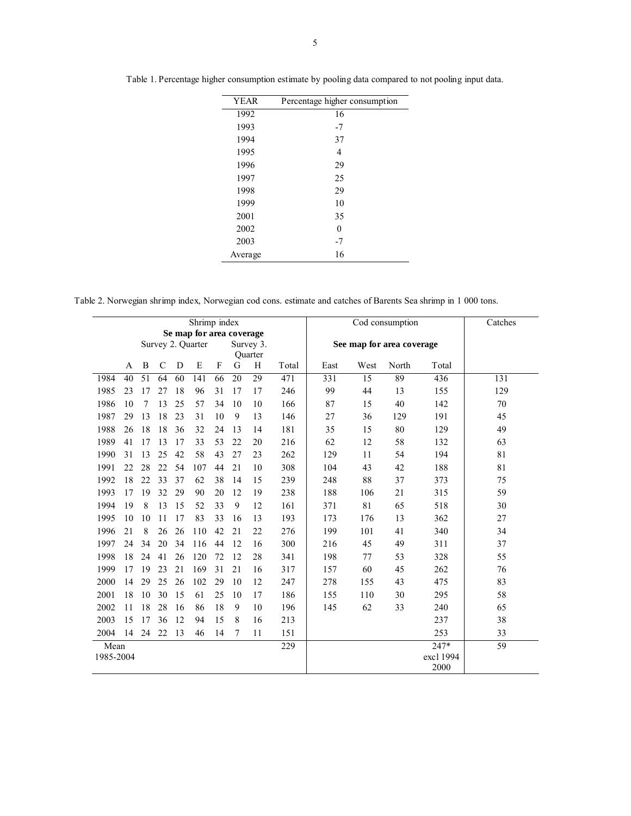| <b>YEAR</b> | Percentage higher consumption |
|-------------|-------------------------------|
| 1992        | 16                            |
| 1993        | $-7$                          |
| 1994        | 37                            |
| 1995        | 4                             |
| 1996        | 29                            |
| 1997        | 25                            |
| 1998        | 29                            |
| 1999        | 10                            |
| 2001        | 35                            |
| 2002        | 0                             |
| 2003        | $-7$                          |
| Average     | 16                            |

Table 1. Percentage higher consumption estimate by pooling data compared to not pooling input data.

Table 2. Norwegian shrimp index, Norwegian cod cons. estimate and catches of Barents Sea shrimp in 1 000 tons.

| Shrimp index |                          |                   |               |    |     |    |                      |    |       | Cod consumption           |      |       | Catches   |     |
|--------------|--------------------------|-------------------|---------------|----|-----|----|----------------------|----|-------|---------------------------|------|-------|-----------|-----|
|              | Se map for area coverage |                   |               |    |     |    |                      |    |       |                           |      |       |           |     |
|              |                          | Survey 2. Quarter |               |    |     |    | Survey 3.<br>Quarter |    |       | See map for area coverage |      |       |           |     |
|              | A                        | B                 | $\mathcal{C}$ | D  | E   | F  | G                    | H  | Total | East                      | West | North | Total     |     |
| 1984         | 40                       | $\overline{51}$   | 64            | 60 | 141 | 66 | 20                   | 29 | 471   | 331                       | 15   | 89    | 436       | 131 |
| 1985         | 23                       | 17                | 27            | 18 | 96  | 31 | 17                   | 17 | 246   | 99                        | 44   | 13    | 155       | 129 |
| 1986         | 10                       | $\overline{7}$    | 13            | 25 | 57  | 34 | 10                   | 10 | 166   | 87                        | 15   | 40    | 142       | 70  |
| 1987         | 29                       | 13                | 18            | 23 | 31  | 10 | 9                    | 13 | 146   | 27                        | 36   | 129   | 191       | 45  |
| 1988         | 26                       | 18                | 18            | 36 | 32  | 24 | 13                   | 14 | 181   | 35                        | 15   | 80    | 129       | 49  |
| 1989         | 41                       | 17                | 13            | 17 | 33  | 53 | 22                   | 20 | 216   | 62                        | 12   | 58    | 132       | 63  |
| 1990         | 31                       | 13                | 25            | 42 | 58  | 43 | 27                   | 23 | 262   | 129                       | 11   | 54    | 194       | 81  |
| 1991         | 22                       | 28                | 22            | 54 | 107 | 44 | 21                   | 10 | 308   | 104                       | 43   | 42    | 188       | 81  |
| 1992         | 18                       | 22                | 33            | 37 | 62  | 38 | 14                   | 15 | 239   | 248                       | 88   | 37    | 373       | 75  |
| 1993         | 17                       | 19                | 32            | 29 | 90  | 20 | 12                   | 19 | 238   | 188                       | 106  | 21    | 315       | 59  |
| 1994         | 19                       | 8                 | 13            | 15 | 52  | 33 | 9                    | 12 | 161   | 371                       | 81   | 65    | 518       | 30  |
| 1995         | 10                       | 10                | 11            | 17 | 83  | 33 | 16                   | 13 | 193   | 173                       | 176  | 13    | 362       | 27  |
| 1996         | 21                       | 8                 | 26            | 26 | 110 | 42 | 21                   | 22 | 276   | 199                       | 101  | 41    | 340       | 34  |
| 1997         | 24                       | 34                | 20            | 34 | 116 | 44 | 12                   | 16 | 300   | 216                       | 45   | 49    | 311       | 37  |
| 1998         | 18                       | 24                | 41            | 26 | 120 | 72 | 12                   | 28 | 341   | 198                       | 77   | 53    | 328       | 55  |
| 1999         | 17                       | 19                | 23            | 21 | 169 | 31 | 21                   | 16 | 317   | 157                       | 60   | 45    | 262       | 76  |
| 2000         | 14                       | 29                | 25            | 26 | 102 | 29 | 10                   | 12 | 247   | 278                       | 155  | 43    | 475       | 83  |
| 2001         | 18                       | 10                | 30            | 15 | 61  | 25 | 10                   | 17 | 186   | 155                       | 110  | 30    | 295       | 58  |
| 2002         | 11                       | 18                | 28            | 16 | 86  | 18 | 9                    | 10 | 196   | 145                       | 62   | 33    | 240       | 65  |
| 2003         | 15                       | 17                | 36            | 12 | 94  | 15 | 8                    | 16 | 213   |                           |      |       | 237       | 38  |
| 2004         | 14                       | 24                | 22            | 13 | 46  | 14 | 7                    | 11 | 151   |                           |      |       | 253       | 33  |
| Mean         |                          |                   |               |    |     |    |                      |    | 229   |                           |      |       | 247*      | 59  |
| 1985-2004    |                          |                   |               |    |     |    |                      |    |       |                           |      |       | exc1 1994 |     |
|              |                          |                   |               |    |     |    |                      |    |       |                           |      |       | 2000      |     |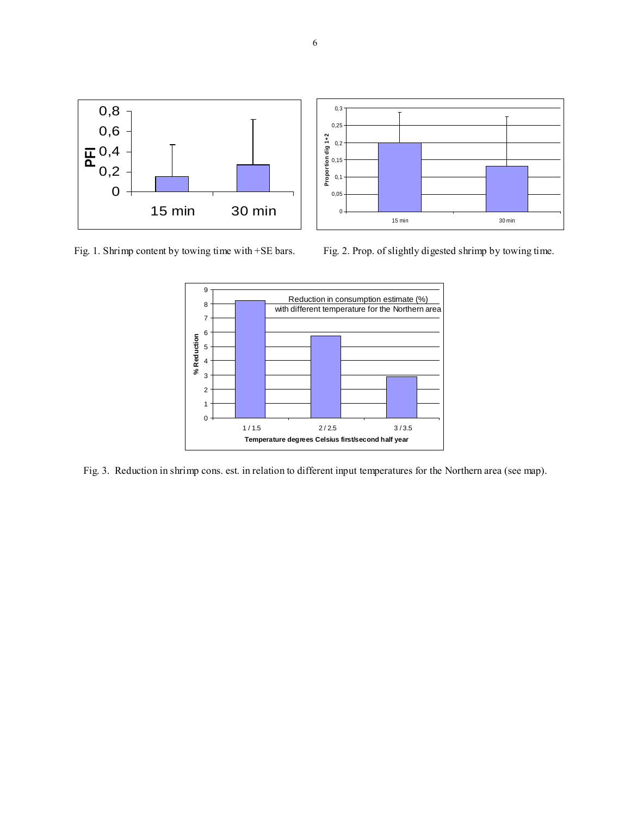

Fig. 1. Shrimp content by towing time with +SE bars. Fig. 2. Prop. of slightly digested shrimp by towing time.



Fig. 3. Reduction in shrimp cons. est. in relation to different input temperatures for the Northern area (see map).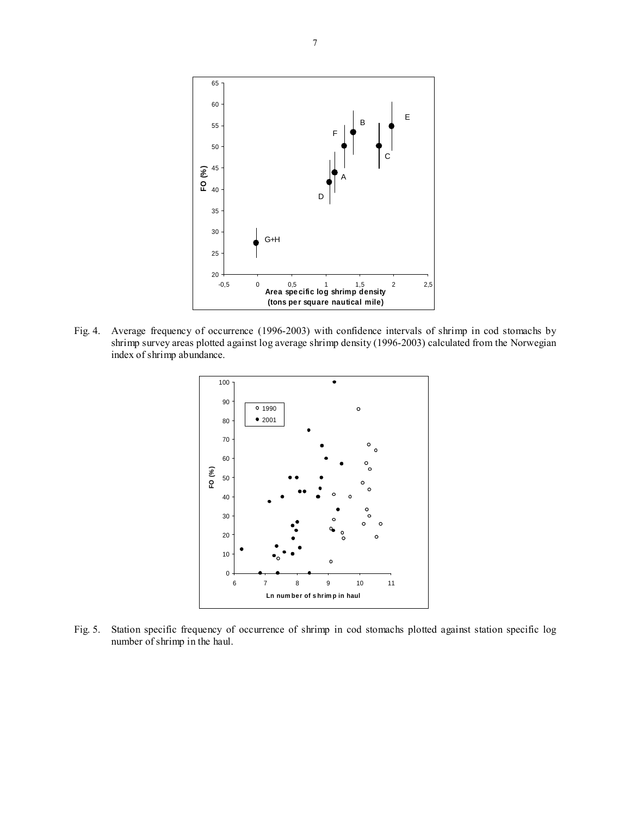

Fig. 4. Average frequency of occurrence (1996-2003) with confidence intervals of shrimp in cod stomachs by shrimp survey areas plotted against log average shrimp density (1996-2003) calculated from the Norwegian index of shrimp abundance.



Fig. 5. Station specific frequency of occurrence of shrimp in cod stomachs plotted against station specific log number of shrimp in the haul.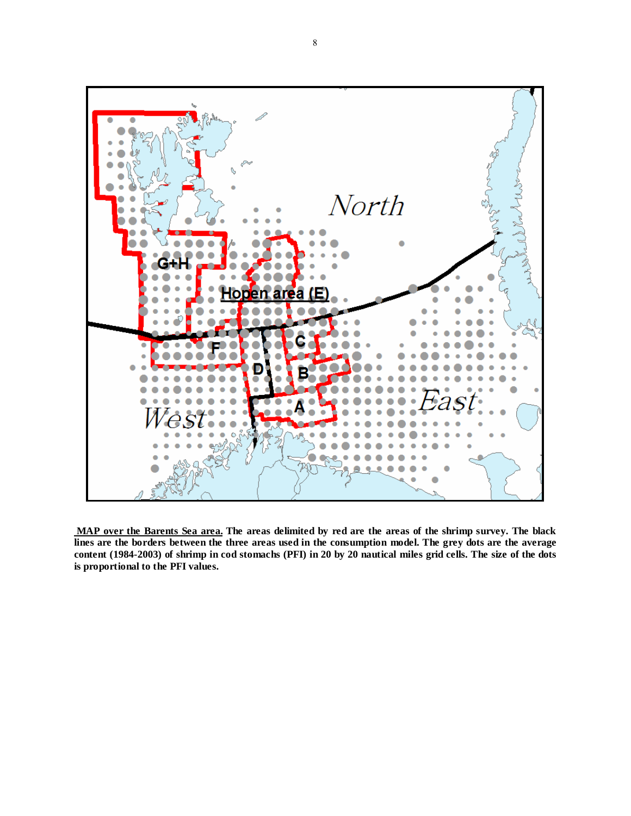

 **MAP over the Barents Sea area. The areas delimited by red are the areas of the shrimp survey. The black lines are the borders between the three areas used in the consumption model. The grey dots are the average content (1984-2003) of shrimp in cod stomachs (PFI) in 20 by 20 nautical miles grid cells. The size of the dots is proportional to the PFI values.**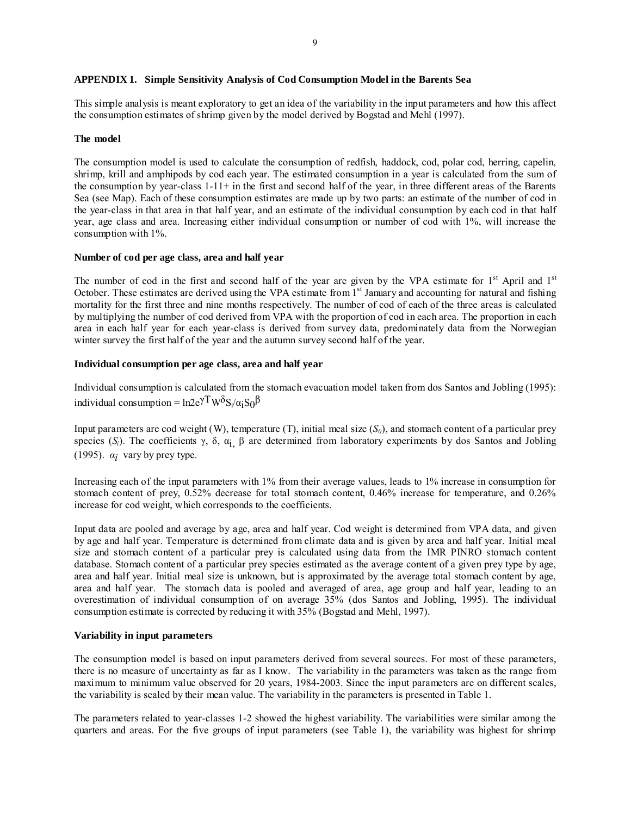## **APPENDIX 1. Simple Sensitivity Analysis of Cod Consumption Model in the Barents Sea**

This simple analysis is meant exploratory to get an idea of the variability in the input parameters and how this affect the consumption estimates of shrimp given by the model derived by Bogstad and Mehl (1997).

### **The model**

The consumption model is used to calculate the consumption of redfish, haddock, cod, polar cod, herring, capelin, shrimp, krill and amphipods by cod each year. The estimated consumption in a year is calculated from the sum of the consumption by year-class 1-11+ in the first and second half of the year, in three different areas of the Barents Sea (see Map). Each of these consumption estimates are made up by two parts: an estimate of the number of cod in the year-class in that area in that half year, and an estimate of the individual consumption by each cod in that half year, age class and area. Increasing either individual consumption or number of cod with 1%, will increase the consumption with 1%.

### **Number of cod per age class, area and half year**

The number of cod in the first and second half of the year are given by the VPA estimate for 1<sup>st</sup> April and 1<sup>st</sup> October. These estimates are derived using the VPA estimate from 1<sup>st</sup> January and accounting for natural and fishing mortality for the first three and nine months respectively. The number of cod of each of the three areas is calculated by multiplying the number of cod derived from VPA with the proportion of cod in each area. The proportion in each area in each half year for each year-class is derived from survey data, predominately data from the Norwegian winter survey the first half of the year and the autumn survey second half of the year.

#### **Individual consumption per age class, area and half year**

Individual consumption is calculated from the stomach evacuation model taken from dos Santos and Jobling (1995): individual consumption =  $ln 2e^{\gamma T} W^{\delta} S_i / \alpha_i S_0^{\beta}$ 

Input parameters are cod weight (W), temperature (T), initial meal size  $(S_0)$ , and stomach content of a particular prey species (S<sub>i</sub>). The coefficients γ, δ, α<sub>i</sub> β are determined from laboratory experiments by dos Santos and Jobling (1995).  $\alpha_i$  vary by prey type.

Increasing each of the input parameters with 1% from their average values, leads to 1% increase in consumption for stomach content of prey, 0.52% decrease for total stomach content, 0.46% increase for temperature, and 0.26% increase for cod weight, which corresponds to the coefficients.

Input data are pooled and average by age, area and half year. Cod weight is determined from VPA data, and given by age and half year. Temperature is determined from climate data and is given by area and half year. Initial meal size and stomach content of a particular prey is calculated using data from the IMR PINRO stomach content database. Stomach content of a particular prey species estimated as the average content of a given prey type by age, area and half year. Initial meal size is unknown, but is approximated by the average total stomach content by age, area and half year. The stomach data is pooled and averaged of area, age group and half year, leading to an overestimation of individual consumption of on average 35% (dos Santos and Jobling, 1995). The individual consumption estimate is corrected by reducing it with 35% (Bogstad and Mehl, 1997).

#### **Variability in input parameters**

The consumption model is based on input parameters derived from several sources. For most of these parameters, there is no measure of uncertainty as far as I know. The variability in the parameters was taken as the range from maximum to minimum value observed for 20 years, 1984-2003. Since the input parameters are on different scales, the variability is scaled by their mean value. The variability in the parameters is presented in Table 1.

The parameters related to year-classes 1-2 showed the highest variability. The variabilities were similar among the quarters and areas. For the five groups of input parameters (see Table 1), the variability was highest for shrimp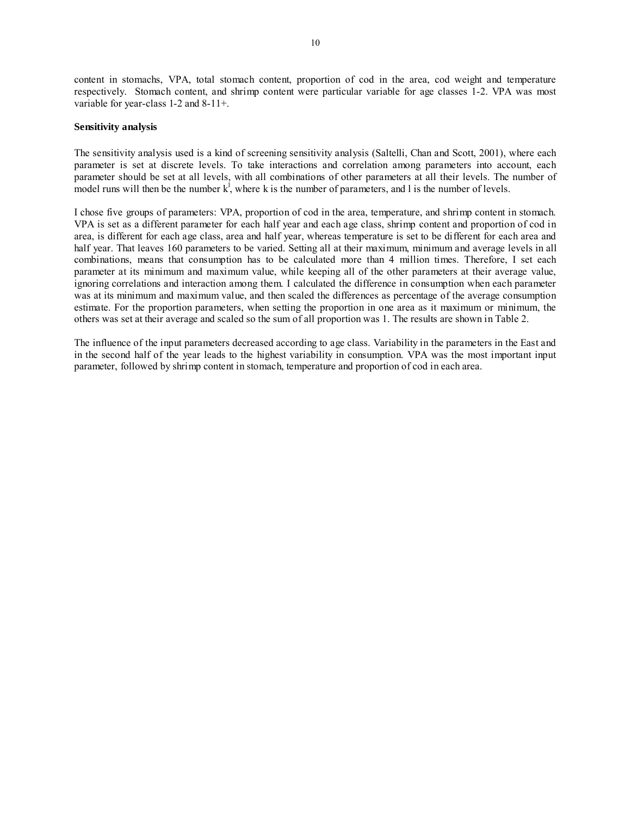content in stomachs, VPA, total stomach content, proportion of cod in the area, cod weight and temperature respectively. Stomach content, and shrimp content were particular variable for age classes 1-2. VPA was most variable for year-class 1-2 and 8-11+.

## **Sensitivity analysis**

The sensitivity analysis used is a kind of screening sensitivity analysis (Saltelli, Chan and Scott, 2001), where each parameter is set at discrete levels. To take interactions and correlation among parameters into account, each parameter should be set at all levels, with all combinations of other parameters at all their levels. The number of model runs will then be the number  $k^l$ , where k is the number of parameters, and l is the number of levels.

I chose five groups of parameters: VPA, proportion of cod in the area, temperature, and shrimp content in stomach. VPA is set as a different parameter for each half year and each age class, shrimp content and proportion of cod in area, is different for each age class, area and half year, whereas temperature is set to be different for each area and half year. That leaves 160 parameters to be varied. Setting all at their maximum, minimum and average levels in all combinations, means that consumption has to be calculated more than 4 million times. Therefore, I set each parameter at its minimum and maximum value, while keeping all of the other parameters at their average value, ignoring correlations and interaction among them. I calculated the difference in consumption when each parameter was at its minimum and maximum value, and then scaled the differences as percentage of the average consumption estimate. For the proportion parameters, when setting the proportion in one area as it maximum or minimum, the others was set at their average and scaled so the sum of all proportion was 1. The results are shown in Table 2.

The influence of the input parameters decreased according to age class. Variability in the parameters in the East and in the second half of the year leads to the highest variability in consumption. VPA was the most important input parameter, followed by shrimp content in stomach, temperature and proportion of cod in each area.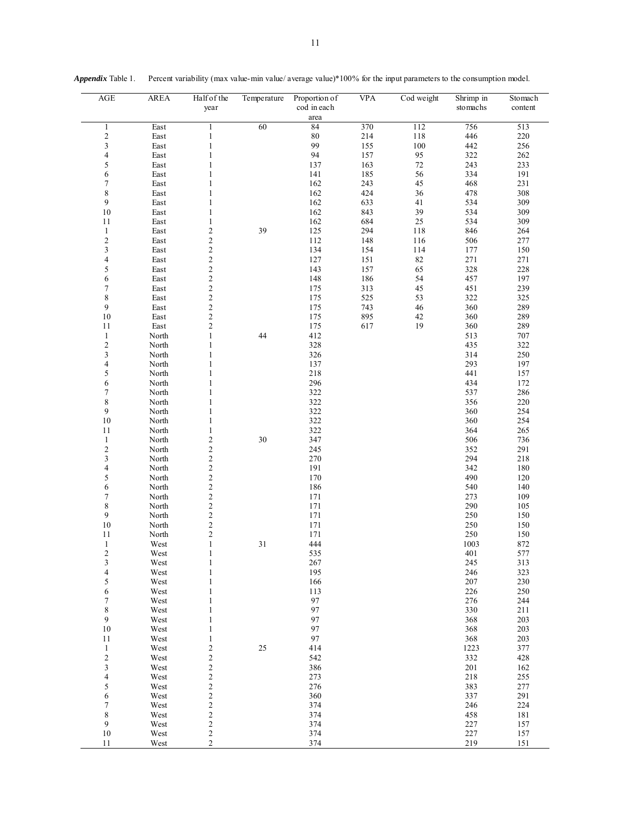| <b>AGE</b>                            | <b>AREA</b>    | Half of the<br>year              | Temperature | Proportion of<br>cod in each | <b>VPA</b> | Cod weight | Shrimp in<br>stomachs | Stomach<br>content |
|---------------------------------------|----------------|----------------------------------|-------------|------------------------------|------------|------------|-----------------------|--------------------|
|                                       |                |                                  |             | area                         |            |            |                       |                    |
| 1                                     | East           | 1                                | 60          | 84                           | 370        | 112        | 756                   | 513                |
| $\overline{\mathbf{c}}$               | East           | $\mathbf{1}$                     |             | $80\,$<br>99                 | 214        | 118        | 446                   | 220                |
| 3<br>$\overline{\mathbf{4}}$          | East           | $\mathbf{1}$<br>1                |             | 94                           | 155<br>157 | 100<br>95  | 442<br>322            | 256                |
| 5                                     | East<br>East   | 1                                |             | 137                          | 163        | 72         | 243                   | 262<br>233         |
| $\sqrt{6}$                            | East           | $\mathbf{1}$                     |             | 141                          | 185        | 56         | 334                   | 191                |
| $\overline{7}$                        | East           | 1                                |             | 162                          | 243        | 45         | 468                   | 231                |
| 8                                     | East           | $\mathbf{1}$                     |             | 162                          | 424        | 36         | 478                   | 308                |
| 9                                     | East           | 1                                |             | 162                          | 633        | 41         | 534                   | 309                |
| $10\,$                                | East           | 1                                |             | 162                          | 843        | 39         | 534                   | 309                |
| 11                                    | East           | 1                                |             | 162                          | 684        | 25         | 534                   | 309                |
| $\mathbf{1}$                          | East           | $\mathfrak{2}$                   | 39          | 125                          | 294        | 118        | 846                   | 264                |
| $\boldsymbol{2}$                      | East           | $\overline{\mathbf{c}}$          |             | 112                          | 148        | 116        | 506                   | 277                |
| $\overline{\mathbf{3}}$               | East           | $\overline{c}$                   |             | 134                          | 154        | 114        | 177                   | 150                |
| $\overline{\mathcal{L}}$              | East           | $\overline{\mathbf{c}}$          |             | 127                          | 151        | 82         | 271                   | 271                |
| 5                                     | East           | $\overline{c}$                   |             | 143                          | 157        | 65         | 328                   | 228                |
| $\sqrt{6}$                            | East           | $\sqrt{2}$                       |             | 148                          | 186        | 54         | 457                   | 197                |
| $\boldsymbol{7}$                      | East           | $\overline{c}$                   |             | 175                          | 313        | 45         | 451                   | 239                |
| 8                                     | East           | $\sqrt{2}$                       |             | 175                          | 525        | 53         | 322                   | 325                |
| 9                                     | East           | $\overline{c}$                   |             | 175                          | 743        | 46         | 360                   | 289                |
| 10                                    | East           | $\overline{\mathbf{c}}$          |             | 175                          | 895        | 42         | 360                   | 289                |
| 11                                    | East           | $\overline{c}$                   |             | 175                          | 617        | 19         | 360                   | 289                |
| $\mathbf{1}$                          | North          | $\mathbf{1}$                     | 44          | 412                          |            |            | 513                   | 707                |
| $\sqrt{2}$<br>3                       | North<br>North | $\mathbf{1}$<br>$\mathbf{1}$     |             | 328<br>326                   |            |            | 435<br>314            | 322<br>250         |
| $\overline{\mathcal{L}}$              | North          | 1                                |             | 137                          |            |            | 293                   | 197                |
| 5                                     | North          | 1                                |             | 218                          |            |            | 441                   | 157                |
| 6                                     | North          | 1                                |             | 296                          |            |            | 434                   | 172                |
| 7                                     | North          | 1                                |             | 322                          |            |            | 537                   | 286                |
| 8                                     | North          | $\mathbf{1}$                     |             | 322                          |            |            | 356                   | 220                |
| 9                                     | North          | 1                                |             | 322                          |            |            | 360                   | 254                |
| $10\,$                                | North          | $\mathbf{1}$                     |             | 322                          |            |            | 360                   | 254                |
| 11                                    | North          | 1                                |             | 322                          |            |            | 364                   | 265                |
| $\mathbf{1}$                          | North          | $\overline{c}$                   | 30          | 347                          |            |            | 506                   | 736                |
| $\sqrt{2}$                            | North          | $\overline{c}$                   |             | 245                          |            |            | 352                   | 291                |
| 3                                     | North          | $\overline{\mathbf{c}}$          |             | 270                          |            |            | 294                   | 218                |
| $\overline{\mathcal{L}}$              | North          | $\overline{c}$                   |             | 191                          |            |            | 342                   | 180                |
| 5                                     | North          | $\overline{c}$                   |             | 170                          |            |            | 490                   | 120                |
| 6                                     | North          | $\overline{\mathbf{c}}$          |             | 186                          |            |            | 540                   | 140                |
| $\boldsymbol{7}$                      | North          | $\overline{c}$                   |             | 171                          |            |            | 273                   | 109                |
| 8                                     | North          | $\overline{\mathbf{c}}$          |             | 171                          |            |            | 290                   | 105                |
| 9                                     | North          | $\overline{c}$                   |             | 171                          |            |            | 250                   | 150                |
| $10\,$                                | North          | $\overline{\mathbf{c}}$          |             | 171                          |            |            | 250                   | 150                |
| 11                                    | North          | $\overline{c}$                   |             | 171                          |            |            | 250                   | 150                |
| $\mathbf{1}$                          | West           | $\mathbf{1}$<br>1                | 31          | 444                          |            |            | 1003<br>401           | 872<br>577         |
| 2                                     | West<br>West   | $\mathbf{1}$                     |             | 535<br>267                   |            |            | 245                   | 313                |
| $\frac{3}{4}$                         | West           | 1                                |             | 195                          |            |            | 246                   | 323                |
| 5                                     | West           | 1                                |             | 166                          |            |            | 207                   | 230                |
| 6                                     | West           | 1                                |             | 113                          |            |            | 226                   | 250                |
| $\boldsymbol{7}$                      | West           | 1                                |             | 97                           |            |            | 276                   | 244                |
| 8                                     | West           | 1                                |             | 97                           |            |            | 330                   | 211                |
| 9                                     | West           | 1                                |             | 97                           |            |            | 368                   | 203                |
| $10\,$                                | West           | 1                                |             | 97                           |            |            | 368                   | 203                |
| $11\,$                                | West           | 1                                |             | 97                           |            |            | 368                   | 203                |
| $\mathbf{1}$                          | West           | $\overline{\mathbf{c}}$          | 25          | 414                          |            |            | 1223                  | 377                |
| $\sqrt{2}$                            | West           | $\overline{\mathbf{c}}$          |             | 542                          |            |            | 332                   | 428                |
| 3                                     | West           | $\frac{2}{2}$                    |             | 386                          |            |            | 201                   | 162                |
| $\overline{\mathbf{4}}$               | West           |                                  |             | 273                          |            |            | 218                   | 255                |
| $\begin{array}{c} 5 \\ 6 \end{array}$ | West           | $\frac{2}{2}$                    |             | 276                          |            |            | 383                   | 277                |
|                                       | West           |                                  |             | 360                          |            |            | 337                   | 291                |
| $\boldsymbol{7}$                      | West           | $\overline{\mathbf{c}}$          |             | 374                          |            |            | 246                   | 224                |
| $\,$ $\,$<br>$\boldsymbol{9}$         | West<br>West   | $\overline{c}$<br>$\overline{c}$ |             | 374<br>374                   |            |            | 458<br>227            | 181<br>157         |
| 10                                    | West           | $\boldsymbol{2}$                 |             | 374                          |            |            | 227                   | 157                |
| 11                                    | West           | $\overline{c}$                   |             | 374                          |            |            | 219                   | 151                |

*Appendix* Table 1. Percent variability (max value-min value/ average value)\*100% for the input parameters to the consumption model.